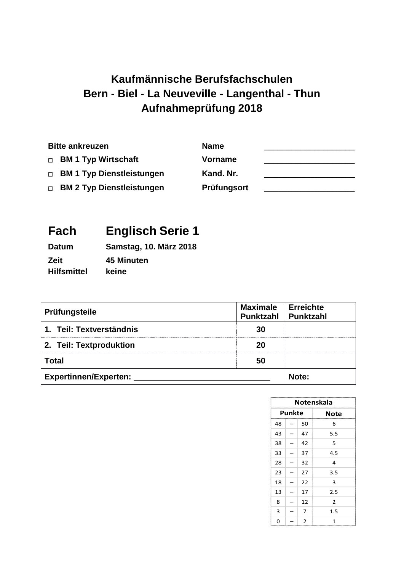# **Kaufmännische Berufsfachschulen Bern - Biel - La Neuveville - Langenthal - Thun Aufnahmeprüfung 2018**

| <b>Bitte ankreuzen</b>      | <b>Name</b>    |  |
|-----------------------------|----------------|--|
| □ BM 1 Typ Wirtschaft       | <b>Vorname</b> |  |
| □ BM 1 Typ Dienstleistungen | Kand, Nr.      |  |
| □ BM 2 Typ Dienstleistungen | Prüfungsort    |  |

# **Fach Englisch Serie 1**

**Datum Samstag, 10. März 2018 Zeit 45 Minuten Hilfsmittel keine**

| Prüfungsteile                | <b>Maximale</b><br><b>Punktzahl</b> | <b>Erreichte</b><br>Punktzahl |
|------------------------------|-------------------------------------|-------------------------------|
| 1. Teil: Textverständnis     | 30                                  |                               |
| 2. Teil: Textproduktion      | 20                                  |                               |
| <b>Total</b>                 | 50                                  |                               |
| <b>Expertinnen/Experten:</b> |                                     | Note:                         |

| <b>Notenskala</b> |        |    |                |
|-------------------|--------|----|----------------|
|                   | Punkte |    | Note           |
| 48                |        | 50 | 6              |
| 43                |        | 47 | 5.5            |
| 38                |        | 42 | 5              |
| 33                |        | 37 | 4.5            |
| 28                |        | 32 | 4              |
| 23                |        | 27 | 3.5            |
| 18                |        | 22 | 3              |
| 13                |        | 17 | 2.5            |
| 8                 |        | 12 | $\overline{2}$ |
| 3                 |        | 7  | 1.5            |
| O                 |        | 2  | 1              |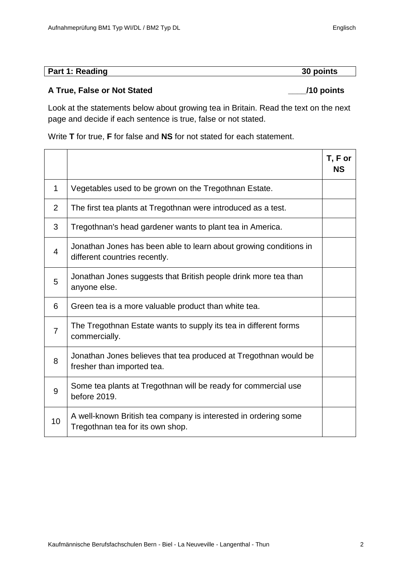| Part 1: Reading | 30 points |
|-----------------|-----------|
|-----------------|-----------|

### **A True, False or Not Stated \_\_\_\_/10 points**

Look at the statements below about growing tea in Britain. Read the text on the next page and decide if each sentence is true, false or not stated.

Write **T** for true, **F** for false and **NS** for not stated for each statement.

|                |                                                                                                     | T, F or<br><b>NS</b> |
|----------------|-----------------------------------------------------------------------------------------------------|----------------------|
| 1              | Vegetables used to be grown on the Tregothnan Estate.                                               |                      |
| 2              | The first tea plants at Tregothnan were introduced as a test.                                       |                      |
| 3              | Tregothnan's head gardener wants to plant tea in America.                                           |                      |
| 4              | Jonathan Jones has been able to learn about growing conditions in<br>different countries recently.  |                      |
| 5              | Jonathan Jones suggests that British people drink more tea than<br>anyone else.                     |                      |
| 6              | Green tea is a more valuable product than white tea.                                                |                      |
| $\overline{7}$ | The Tregothnan Estate wants to supply its tea in different forms<br>commercially.                   |                      |
| 8              | Jonathan Jones believes that tea produced at Tregothnan would be<br>fresher than imported tea.      |                      |
| 9              | Some tea plants at Tregothnan will be ready for commercial use<br>before 2019.                      |                      |
| 10             | A well-known British tea company is interested in ordering some<br>Tregothnan tea for its own shop. |                      |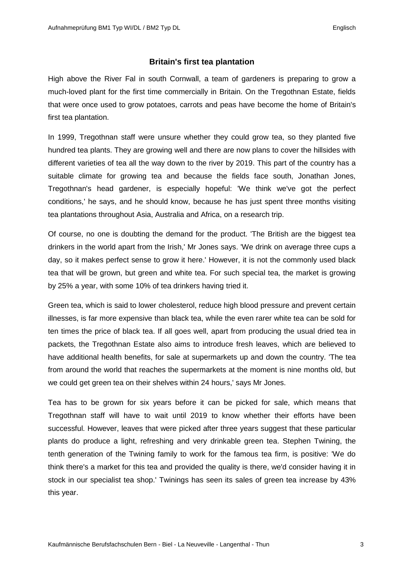### **Britain's first tea plantation**

High above the River Fal in south Cornwall, a team of gardeners is preparing to grow a much-loved plant for the first time commercially in Britain. On the Tregothnan Estate, fields that were once used to grow potatoes, carrots and peas have become the home of Britain's first tea plantation.

In 1999, Tregothnan staff were unsure whether they could grow tea, so they planted five hundred tea plants. They are growing well and there are now plans to cover the hillsides with different varieties of tea all the way down to the river by 2019. This part of the country has a suitable climate for growing tea and because the fields face south, Jonathan Jones, Tregothnan's head gardener, is especially hopeful: 'We think we've got the perfect conditions,' he says, and he should know, because he has just spent three months visiting tea plantations throughout Asia, Australia and Africa, on a research trip.

Of course, no one is doubting the demand for the product. 'The British are the biggest tea drinkers in the world apart from the Irish,' Mr Jones says. 'We drink on average three cups a day, so it makes perfect sense to grow it here.' However, it is not the commonly used black tea that will be grown, but green and white tea. For such special tea, the market is growing by 25% a year, with some 10% of tea drinkers having tried it.

Green tea, which is said to lower cholesterol, reduce high blood pressure and prevent certain illnesses, is far more expensive than black tea, while the even rarer white tea can be sold for ten times the price of black tea. If all goes well, apart from producing the usual dried tea in packets, the Tregothnan Estate also aims to introduce fresh leaves, which are believed to have additional health benefits, for sale at supermarkets up and down the country. 'The tea from around the world that reaches the supermarkets at the moment is nine months old, but we could get green tea on their shelves within 24 hours,' says Mr Jones.

Tea has to be grown for six years before it can be picked for sale, which means that Tregothnan staff will have to wait until 2019 to know whether their efforts have been successful. However, leaves that were picked after three years suggest that these particular plants do produce a light, refreshing and very drinkable green tea. Stephen Twining, the tenth generation of the Twining family to work for the famous tea firm, is positive: 'We do think there's a market for this tea and provided the quality is there, we'd consider having it in stock in our specialist tea shop.' Twinings has seen its sales of green tea increase by 43% this year.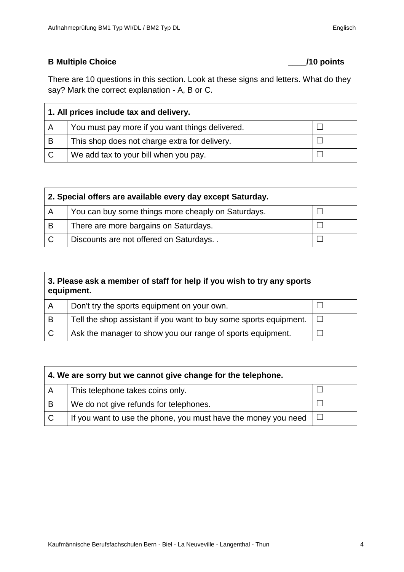## **B Multiple Choice \_\_\_\_/10 points**

There are 10 questions in this section. Look at these signs and letters. What do they say? Mark the correct explanation - A, B or C.

| 1. All prices include tax and delivery. |                                                 |  |
|-----------------------------------------|-------------------------------------------------|--|
| $\overline{A}$                          | You must pay more if you want things delivered. |  |
| $\overline{B}$                          | This shop does not charge extra for delivery.   |  |
| $\overline{C}$                          | We add tax to your bill when you pay.           |  |

| 2. Special offers are available every day except Saturday. |                                                    |  |
|------------------------------------------------------------|----------------------------------------------------|--|
|                                                            | You can buy some things more cheaply on Saturdays. |  |
| B                                                          | There are more bargains on Saturdays.              |  |
|                                                            | Discounts are not offered on Saturdays             |  |

| 3. Please ask a member of staff for help if you wish to try any sports<br>equipment. |                                                                   |  |
|--------------------------------------------------------------------------------------|-------------------------------------------------------------------|--|
| A                                                                                    | Don't try the sports equipment on your own.                       |  |
| B                                                                                    | Tell the shop assistant if you want to buy some sports equipment. |  |
| $\mathbf{C}$                                                                         | Ask the manager to show you our range of sports equipment.        |  |

| 4. We are sorry but we cannot give change for the telephone. |                                                                |  |
|--------------------------------------------------------------|----------------------------------------------------------------|--|
| $\overline{A}$                                               | This telephone takes coins only.                               |  |
| B                                                            | We do not give refunds for telephones.                         |  |
| $\overline{C}$                                               | If you want to use the phone, you must have the money you need |  |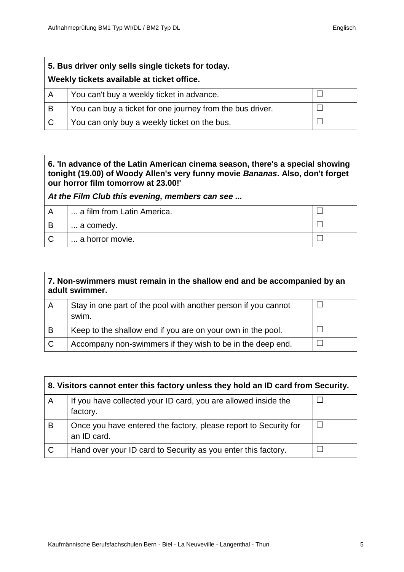| 5. Bus driver only sells single tickets for today. |                                                           |  |
|----------------------------------------------------|-----------------------------------------------------------|--|
| Weekly tickets available at ticket office.         |                                                           |  |
| A                                                  | You can't buy a weekly ticket in advance.                 |  |
| B                                                  | You can buy a ticket for one journey from the bus driver. |  |
| $\mathsf{C}$                                       | You can only buy a weekly ticket on the bus.              |  |

## **6. 'In advance of the Latin American cinema season, there's a special showing tonight (19.00) of Woody Allen's very funny movie** *Bananas***. Also, don't forget our horror film tomorrow at 23.00!'** *At the Film Club this evening, members can see ...*  A ... a film from Latin America.  $\Box$

| a comedy.       |  |
|-----------------|--|
| a horror movie. |  |

| 7. Non-swimmers must remain in the shallow end and be accompanied by an<br>adult swimmer. |                                                                         |  |
|-------------------------------------------------------------------------------------------|-------------------------------------------------------------------------|--|
| A                                                                                         | Stay in one part of the pool with another person if you cannot<br>swim. |  |
| B                                                                                         | Keep to the shallow end if you are on your own in the pool.             |  |
| $\overline{C}$                                                                            | Accompany non-swimmers if they wish to be in the deep end.              |  |

| 8. Visitors cannot enter this factory unless they hold an ID card from Security. |                                                                                 |  |  |
|----------------------------------------------------------------------------------|---------------------------------------------------------------------------------|--|--|
| A                                                                                | If you have collected your ID card, you are allowed inside the<br>factory.      |  |  |
| B                                                                                | Once you have entered the factory, please report to Security for<br>an ID card. |  |  |
| $\mathsf{C}$                                                                     | Hand over your ID card to Security as you enter this factory.                   |  |  |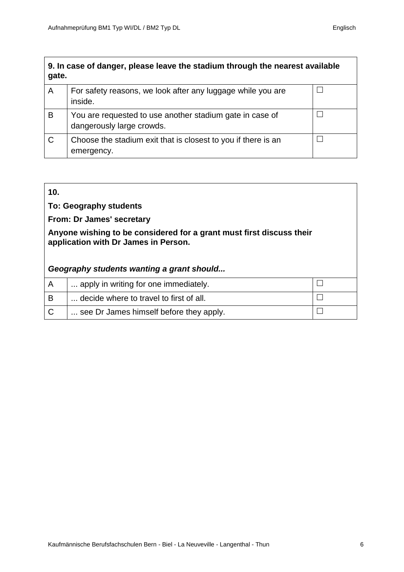| 9. In case of danger, please leave the stadium through the nearest available<br>gate. |                                                                                       |  |  |
|---------------------------------------------------------------------------------------|---------------------------------------------------------------------------------------|--|--|
| A                                                                                     | For safety reasons, we look after any luggage while you are<br>inside.                |  |  |
| B                                                                                     | You are requested to use another stadium gate in case of<br>dangerously large crowds. |  |  |
| C                                                                                     | Choose the stadium exit that is closest to you if there is an<br>emergency.           |  |  |

## **10.**

**To: Geography students**

**From: Dr James' secretary**

**Anyone wishing to be considered for a grant must first discuss their application with Dr James in Person.** 

## *Geography students wanting a grant should...*

| apply in writing for one immediately.   |  |
|-----------------------------------------|--|
| decide where to travel to first of all. |  |
| see Dr James himself before they apply. |  |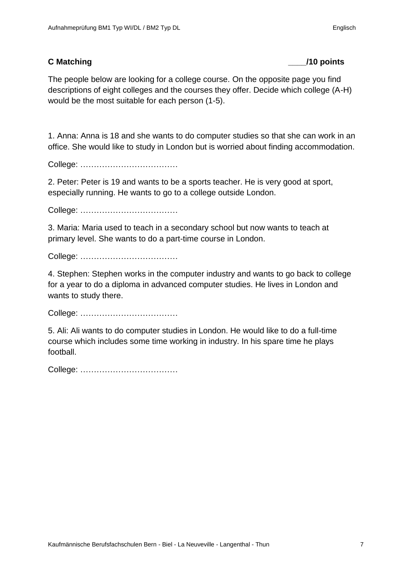## **C Matching \_\_\_\_/10 points**

The people below are looking for a college course. On the opposite page you find descriptions of eight colleges and the courses they offer. Decide which college (A-H) would be the most suitable for each person (1-5).

1. Anna: Anna is 18 and she wants to do computer studies so that she can work in an office. She would like to study in London but is worried about finding accommodation.

College: ………………………………

2. Peter: Peter is 19 and wants to be a sports teacher. He is very good at sport, especially running. He wants to go to a college outside London.

College: ………………………………

3. Maria: Maria used to teach in a secondary school but now wants to teach at primary level. She wants to do a part-time course in London.

College: ………………………………

4. Stephen: Stephen works in the computer industry and wants to go back to college for a year to do a diploma in advanced computer studies. He lives in London and wants to study there.

College: ………………………………

5. Ali: Ali wants to do computer studies in London. He would like to do a full-time course which includes some time working in industry. In his spare time he plays football.

College: ………………………………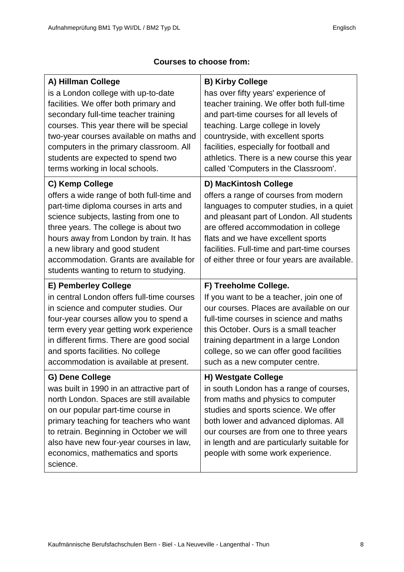## **Courses to choose from:**

| A) Hillman College                                                                                                                                                                                                                                                                                                                                         | <b>B) Kirby College</b>                                                                                                                                                                                                                                                                                                               |
|------------------------------------------------------------------------------------------------------------------------------------------------------------------------------------------------------------------------------------------------------------------------------------------------------------------------------------------------------------|---------------------------------------------------------------------------------------------------------------------------------------------------------------------------------------------------------------------------------------------------------------------------------------------------------------------------------------|
| is a London college with up-to-date                                                                                                                                                                                                                                                                                                                        | has over fifty years' experience of                                                                                                                                                                                                                                                                                                   |
| facilities. We offer both primary and                                                                                                                                                                                                                                                                                                                      | teacher training. We offer both full-time                                                                                                                                                                                                                                                                                             |
| secondary full-time teacher training                                                                                                                                                                                                                                                                                                                       | and part-time courses for all levels of                                                                                                                                                                                                                                                                                               |
| courses. This year there will be special                                                                                                                                                                                                                                                                                                                   | teaching. Large college in lovely                                                                                                                                                                                                                                                                                                     |
| two-year courses available on maths and                                                                                                                                                                                                                                                                                                                    | countryside, with excellent sports                                                                                                                                                                                                                                                                                                    |
| computers in the primary classroom. All                                                                                                                                                                                                                                                                                                                    | facilities, especially for football and                                                                                                                                                                                                                                                                                               |
| students are expected to spend two                                                                                                                                                                                                                                                                                                                         | athletics. There is a new course this year                                                                                                                                                                                                                                                                                            |
| terms working in local schools.                                                                                                                                                                                                                                                                                                                            | called 'Computers in the Classroom'.                                                                                                                                                                                                                                                                                                  |
| C) Kemp College<br>offers a wide range of both full-time and<br>part-time diploma courses in arts and<br>science subjects, lasting from one to<br>three years. The college is about two<br>hours away from London by train. It has<br>a new library and good student<br>accommodation. Grants are available for<br>students wanting to return to studying. | D) MacKintosh College<br>offers a range of courses from modern<br>languages to computer studies, in a quiet<br>and pleasant part of London. All students<br>are offered accommodation in college<br>flats and we have excellent sports<br>facilities. Full-time and part-time courses<br>of either three or four years are available. |
| <b>E) Pemberley College</b>                                                                                                                                                                                                                                                                                                                                | F) Treeholme College.                                                                                                                                                                                                                                                                                                                 |
| in central London offers full-time courses                                                                                                                                                                                                                                                                                                                 | If you want to be a teacher, join one of                                                                                                                                                                                                                                                                                              |
| in science and computer studies. Our                                                                                                                                                                                                                                                                                                                       | our courses. Places are available on our                                                                                                                                                                                                                                                                                              |
| four-year courses allow you to spend a                                                                                                                                                                                                                                                                                                                     | full-time courses in science and maths                                                                                                                                                                                                                                                                                                |
| term every year getting work experience                                                                                                                                                                                                                                                                                                                    | this October. Ours is a small teacher                                                                                                                                                                                                                                                                                                 |
| in different firms. There are good social                                                                                                                                                                                                                                                                                                                  | training department in a large London                                                                                                                                                                                                                                                                                                 |
| and sports facilities. No college                                                                                                                                                                                                                                                                                                                          | college, so we can offer good facilities                                                                                                                                                                                                                                                                                              |
| accommodation is available at present.                                                                                                                                                                                                                                                                                                                     | such as a new computer centre.                                                                                                                                                                                                                                                                                                        |
| G) Dene College<br>was built in 1990 in an attractive part of                                                                                                                                                                                                                                                                                              | H) Westgate College                                                                                                                                                                                                                                                                                                                   |